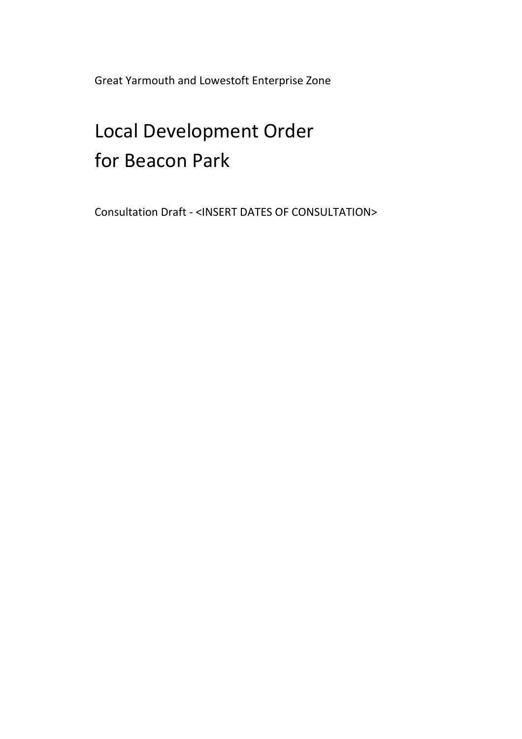Great Yarmouth and Lowestoft Enterprise Zone

# Local Development Order for Beacon Park

Consultation Draft - <INSERT DATES OF CONSULTATION>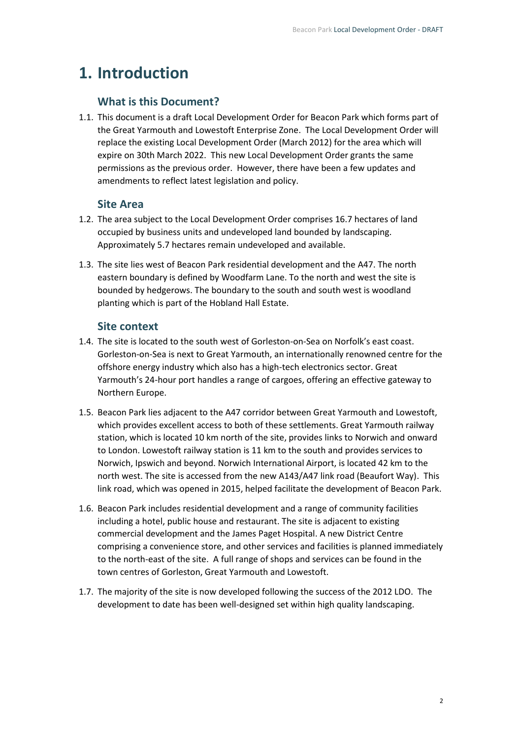# **1. Introduction**

#### **What is this Document?**

1.1. This document is a draft Local Development Order for Beacon Park which forms part of the Great Yarmouth and Lowestoft Enterprise Zone. The Local Development Order will replace the existing Local Development Order (March 2012) for the area which will expire on 30th March 2022. This new Local Development Order grants the same permissions as the previous order. However, there have been a few updates and amendments to reflect latest legislation and policy.

#### **Site Area**

- 1.2. The area subject to the Local Development Order comprises 16.7 hectares of land occupied by business units and undeveloped land bounded by landscaping. Approximately 5.7 hectares remain undeveloped and available.
- 1.3. The site lies west of Beacon Park residential development and the A47. The north eastern boundary is defined by Woodfarm Lane. To the north and west the site is bounded by hedgerows. The boundary to the south and south west is woodland planting which is part of the Hobland Hall Estate.

#### **Site context**

- 1.4. The site is located to the south west of Gorleston-on-Sea on Norfolk's east coast. Gorleston-on-Sea is next to Great Yarmouth, an internationally renowned centre for the offshore energy industry which also has a high-tech electronics sector. Great Yarmouth's 24-hour port handles a range of cargoes, offering an effective gateway to Northern Europe.
- 1.5. Beacon Park lies adjacent to the A47 corridor between Great Yarmouth and Lowestoft, which provides excellent access to both of these settlements. Great Yarmouth railway station, which is located 10 km north of the site, provides links to Norwich and onward to London. Lowestoft railway station is 11 km to the south and provides services to Norwich, Ipswich and beyond. Norwich International Airport, is located 42 km to the north west. The site is accessed from the new A143/A47 link road (Beaufort Way). This link road, which was opened in 2015, helped facilitate the development of Beacon Park.
- 1.6. Beacon Park includes residential development and a range of community facilities including a hotel, public house and restaurant. The site is adjacent to existing commercial development and the James Paget Hospital. A new District Centre comprising a convenience store, and other services and facilities is planned immediately to the north-east of the site. A full range of shops and services can be found in the town centres of Gorleston, Great Yarmouth and Lowestoft.
- 1.7. The majority of the site is now developed following the success of the 2012 LDO. The development to date has been well-designed set within high quality landscaping.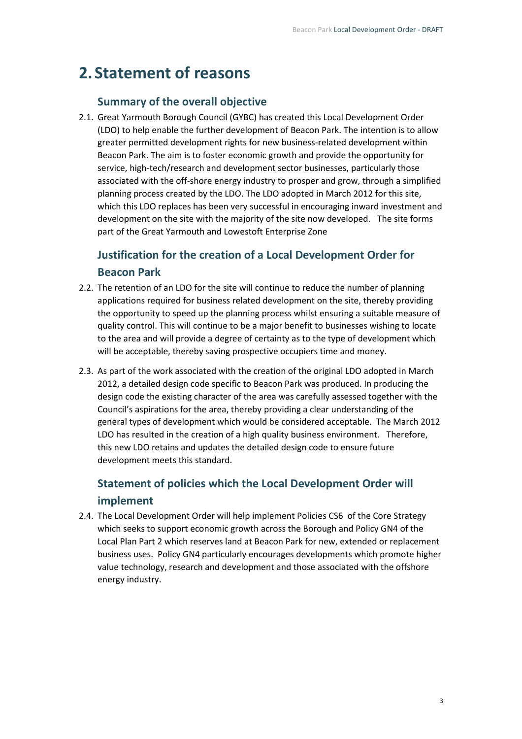## **2. Statement of reasons**

#### **Summary of the overall objective**

2.1. Great Yarmouth Borough Council (GYBC) has created this Local Development Order (LDO) to help enable the further development of Beacon Park. The intention is to allow greater permitted development rights for new business-related development within Beacon Park. The aim is to foster economic growth and provide the opportunity for service, high-tech/research and development sector businesses, particularly those associated with the off-shore energy industry to prosper and grow, through a simplified planning process created by the LDO. The LDO adopted in March 2012 for this site, which this LDO replaces has been very successful in encouraging inward investment and development on the site with the majority of the site now developed. The site forms part of the Great Yarmouth and Lowestoft Enterprise Zone

### **Justification for the creation of a Local Development Order for Beacon Park**

- 2.2. The retention of an LDO for the site will continue to reduce the number of planning applications required for business related development on the site, thereby providing the opportunity to speed up the planning process whilst ensuring a suitable measure of quality control. This will continue to be a major benefit to businesses wishing to locate to the area and will provide a degree of certainty as to the type of development which will be acceptable, thereby saving prospective occupiers time and money.
- 2.3. As part of the work associated with the creation of the original LDO adopted in March 2012, a detailed design code specific to Beacon Park was produced. In producing the design code the existing character of the area was carefully assessed together with the Council's aspirations for the area, thereby providing a clear understanding of the general types of development which would be considered acceptable. The March 2012 LDO has resulted in the creation of a high quality business environment. Therefore, this new LDO retains and updates the detailed design code to ensure future development meets this standard.

### **Statement of policies which the Local Development Order will implement**

2.4. The Local Development Order will help implement Policies CS6 of the Core Strategy which seeks to support economic growth across the Borough and Policy GN4 of the Local Plan Part 2 which reserves land at Beacon Park for new, extended or replacement business uses. Policy GN4 particularly encourages developments which promote higher value technology, research and development and those associated with the offshore energy industry.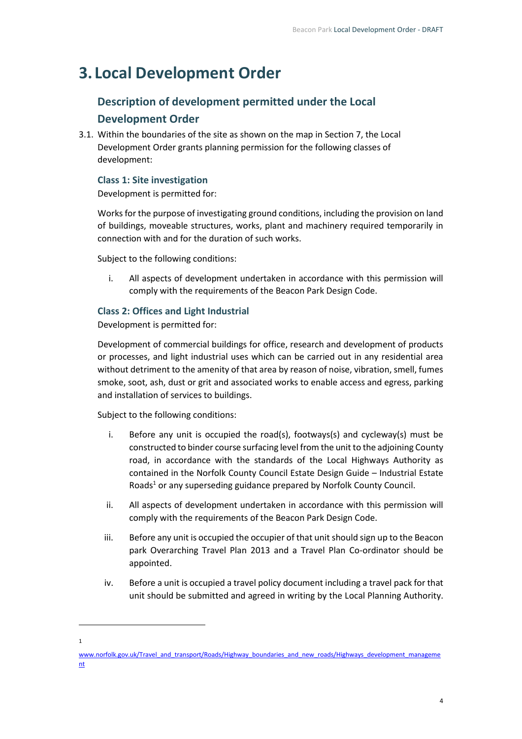# **3. Local Development Order**

### **Description of development permitted under the Local Development Order**

3.1. Within the boundaries of the site as shown on the map in Section 7, the Local Development Order grants planning permission for the following classes of development:

#### **Class 1: Site investigation**

Development is permitted for:

Works for the purpose of investigating ground conditions, including the provision on land of buildings, moveable structures, works, plant and machinery required temporarily in connection with and for the duration of such works.

Subject to the following conditions:

i. All aspects of development undertaken in accordance with this permission will comply with the requirements of the Beacon Park Design Code.

#### **Class 2: Offices and Light Industrial**

Development is permitted for:

Development of commercial buildings for office, research and development of products or processes, and light industrial uses which can be carried out in any residential area without detriment to the amenity of that area by reason of noise, vibration, smell, fumes smoke, soot, ash, dust or grit and associated works to enable access and egress, parking and installation of services to buildings.

Subject to the following conditions:

- i. Before any unit is occupied the road(s), footways(s) and cycleway(s) must be constructed to binder course surfacing level from the unit to the adjoining County road, in accordance with the standards of the Local Highways Authority as contained in the Norfolk County Council Estate Design Guide – Industrial Estate Roads<sup>1</sup> or any superseding guidance prepared by Norfolk County Council.
- ii. All aspects of development undertaken in accordance with this permission will comply with the requirements of the Beacon Park Design Code.
- iii. Before any unit is occupied the occupier of that unit should sign up to the Beacon park Overarching Travel Plan 2013 and a Travel Plan Co-ordinator should be appointed.
- iv. Before a unit is occupied a travel policy document including a travel pack for that unit should be submitted and agreed in writing by the Local Planning Authority.

<sup>1</sup>

[www.norfolk.gov.uk/Travel\\_and\\_transport/Roads/Highway\\_boundaries\\_and\\_new\\_roads/Highways\\_development\\_manageme](http://www.norfolk.gov.uk/Travel_and_transport/Roads/Highway_boundaries_and_new_roads/Highways_development_management) [nt](http://www.norfolk.gov.uk/Travel_and_transport/Roads/Highway_boundaries_and_new_roads/Highways_development_management)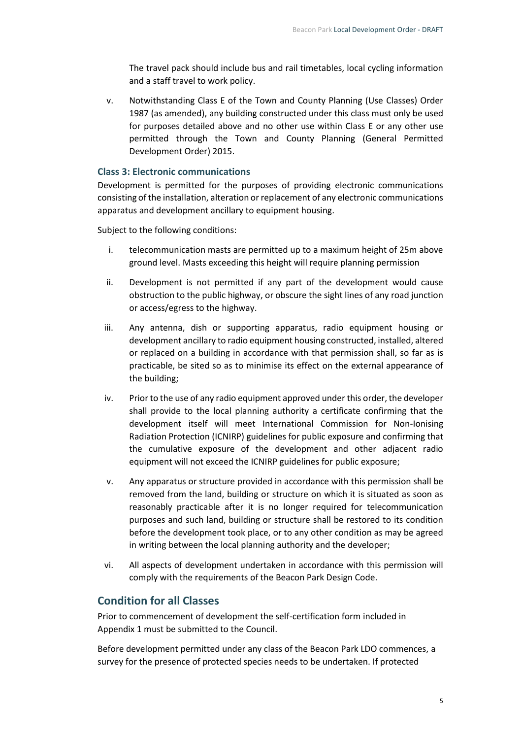The travel pack should include bus and rail timetables, local cycling information and a staff travel to work policy.

v. Notwithstanding Class E of the Town and County Planning (Use Classes) Order 1987 (as amended), any building constructed under this class must only be used for purposes detailed above and no other use within Class E or any other use permitted through the Town and County Planning (General Permitted Development Order) 2015.

#### **Class 3: Electronic communications**

Development is permitted for the purposes of providing electronic communications consisting of the installation, alteration or replacement of any electronic communications apparatus and development ancillary to equipment housing.

Subject to the following conditions:

- i. telecommunication masts are permitted up to a maximum height of 25m above ground level. Masts exceeding this height will require planning permission
- ii. Development is not permitted if any part of the development would cause obstruction to the public highway, or obscure the sight lines of any road junction or access/egress to the highway.
- iii. Any antenna, dish or supporting apparatus, radio equipment housing or development ancillary to radio equipment housing constructed, installed, altered or replaced on a building in accordance with that permission shall, so far as is practicable, be sited so as to minimise its effect on the external appearance of the building;
- iv. Prior to the use of any radio equipment approved under this order, the developer shall provide to the local planning authority a certificate confirming that the development itself will meet International Commission for Non-Ionising Radiation Protection (ICNIRP) guidelines for public exposure and confirming that the cumulative exposure of the development and other adjacent radio equipment will not exceed the ICNIRP guidelines for public exposure;
- v. Any apparatus or structure provided in accordance with this permission shall be removed from the land, building or structure on which it is situated as soon as reasonably practicable after it is no longer required for telecommunication purposes and such land, building or structure shall be restored to its condition before the development took place, or to any other condition as may be agreed in writing between the local planning authority and the developer;
- vi. All aspects of development undertaken in accordance with this permission will comply with the requirements of the Beacon Park Design Code.

#### **Condition for all Classes**

Prior to commencement of development the self-certification form included in Appendix 1 must be submitted to the Council.

Before development permitted under any class of the Beacon Park LDO commences, a survey for the presence of protected species needs to be undertaken. If protected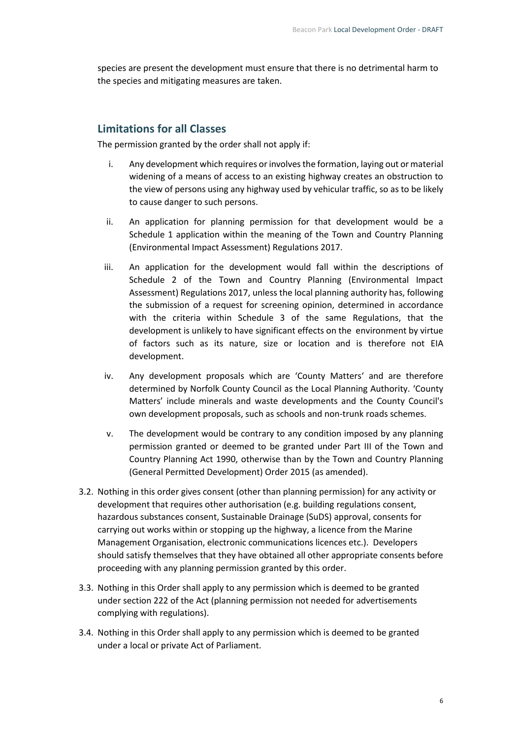species are present the development must ensure that there is no detrimental harm to the species and mitigating measures are taken.

#### **Limitations for all Classes**

The permission granted by the order shall not apply if:

- i. Any development which requires or involves the formation, laying out or material widening of a means of access to an existing highway creates an obstruction to the view of persons using any highway used by vehicular traffic, so as to be likely to cause danger to such persons.
- ii. An application for planning permission for that development would be a Schedule 1 application within the meaning of the Town and Country Planning (Environmental Impact Assessment) Regulations 2017.
- iii. An application for the development would fall within the descriptions of Schedule 2 of the Town and Country Planning (Environmental Impact Assessment) Regulations 2017, unless the local planning authority has, following the submission of a request for screening opinion, determined in accordance with the criteria within Schedule 3 of the same Regulations, that the development is unlikely to have significant effects on the environment by virtue of factors such as its nature, size or location and is therefore not EIA development.
- iv. Any development proposals which are 'County Matters' and are therefore determined by Norfolk County Council as the Local Planning Authority. 'County Matters' include minerals and waste developments and the County Council's own development proposals, such as schools and non-trunk roads schemes.
- v. The development would be contrary to any condition imposed by any planning permission granted or deemed to be granted under Part III of the Town and Country Planning Act 1990, otherwise than by the Town and Country Planning (General Permitted Development) Order 2015 (as amended).
- 3.2. Nothing in this order gives consent (other than planning permission) for any activity or development that requires other authorisation (e.g. building regulations consent, hazardous substances consent, Sustainable Drainage (SuDS) approval, consents for carrying out works within or stopping up the highway, a licence from the Marine Management Organisation, electronic communications licences etc.). Developers should satisfy themselves that they have obtained all other appropriate consents before proceeding with any planning permission granted by this order.
- 3.3. Nothing in this Order shall apply to any permission which is deemed to be granted under section 222 of the Act (planning permission not needed for advertisements complying with regulations).
- 3.4. Nothing in this Order shall apply to any permission which is deemed to be granted under a local or private Act of Parliament.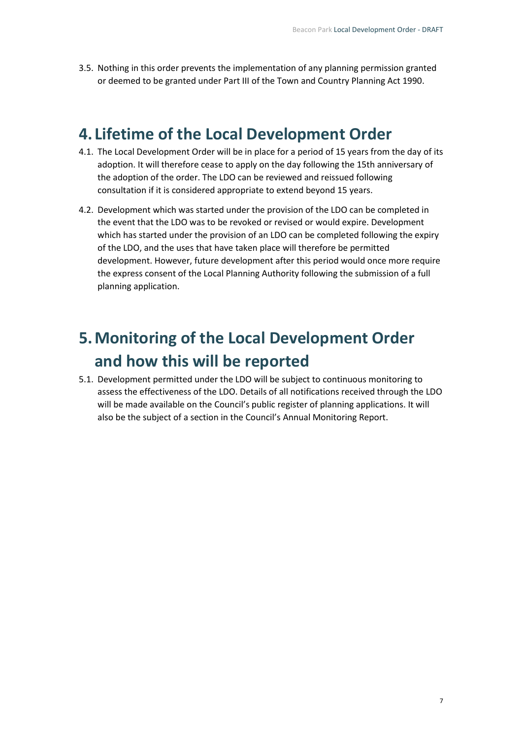3.5. Nothing in this order prevents the implementation of any planning permission granted or deemed to be granted under Part III of the Town and Country Planning Act 1990.

### **4. Lifetime of the Local Development Order**

- 4.1. The Local Development Order will be in place for a period of 15 years from the day of its adoption. It will therefore cease to apply on the day following the 15th anniversary of the adoption of the order. The LDO can be reviewed and reissued following consultation if it is considered appropriate to extend beyond 15 years.
- 4.2. Development which was started under the provision of the LDO can be completed in the event that the LDO was to be revoked or revised or would expire. Development which has started under the provision of an LDO can be completed following the expiry of the LDO, and the uses that have taken place will therefore be permitted development. However, future development after this period would once more require the express consent of the Local Planning Authority following the submission of a full planning application.

# **5.Monitoring of the Local Development Order and how this will be reported**

5.1. Development permitted under the LDO will be subject to continuous monitoring to assess the effectiveness of the LDO. Details of all notifications received through the LDO will be made available on the Council's public register of planning applications. It will also be the subject of a section in the Council's Annual Monitoring Report.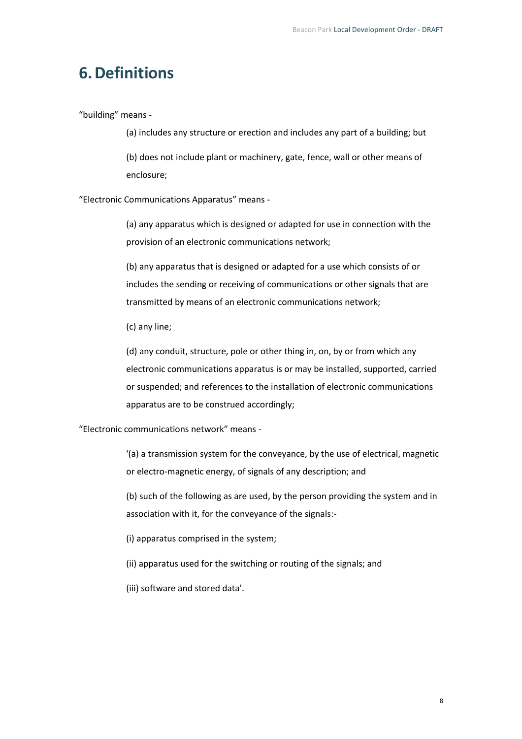### **6.Definitions**

"building" means -

(a) includes any structure or erection and includes any part of a building; but

(b) does not include plant or machinery, gate, fence, wall or other means of enclosure;

"Electronic Communications Apparatus" means -

(a) any apparatus which is designed or adapted for use in connection with the provision of an electronic communications network;

(b) any apparatus that is designed or adapted for a use which consists of or includes the sending or receiving of communications or other signals that are transmitted by means of an electronic communications network;

(c) any line;

(d) any conduit, structure, pole or other thing in, on, by or from which any electronic communications apparatus is or may be installed, supported, carried or suspended; and references to the installation of electronic communications apparatus are to be construed accordingly;

"Electronic communications network" means -

'(a) a transmission system for the conveyance, by the use of electrical, magnetic or electro-magnetic energy, of signals of any description; and

(b) such of the following as are used, by the person providing the system and in association with it, for the conveyance of the signals:-

(i) apparatus comprised in the system;

- (ii) apparatus used for the switching or routing of the signals; and
- (iii) software and stored data'.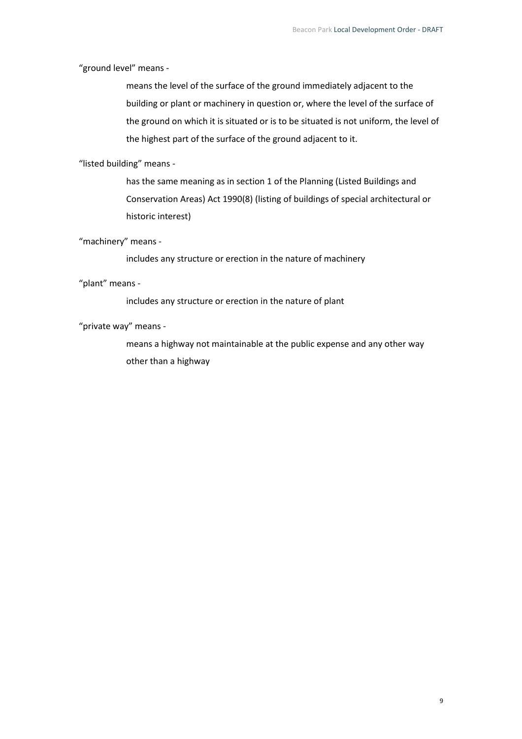"ground level" means -

means the level of the surface of the ground immediately adjacent to the building or plant or machinery in question or, where the level of the surface of the ground on which it is situated or is to be situated is not uniform, the level of the highest part of the surface of the ground adjacent to it.

"listed building" means -

has the same meaning as in section 1 of the Planning (Listed Buildings and Conservation Areas) Act 1990(8) (listing of buildings of special architectural or historic interest)

"machinery" means -

includes any structure or erection in the nature of machinery

"plant" means -

includes any structure or erection in the nature of plant

"private way" means -

means a highway not maintainable at the public expense and any other way other than a highway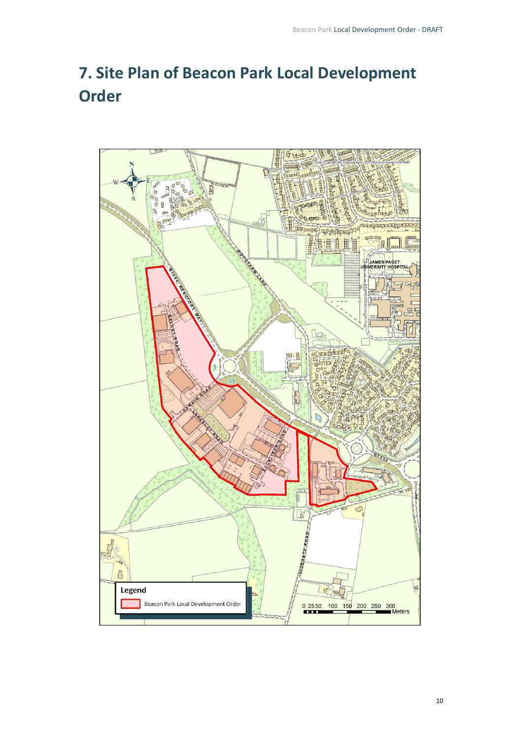# **7. Site Plan of Beacon Park Local Development Order**

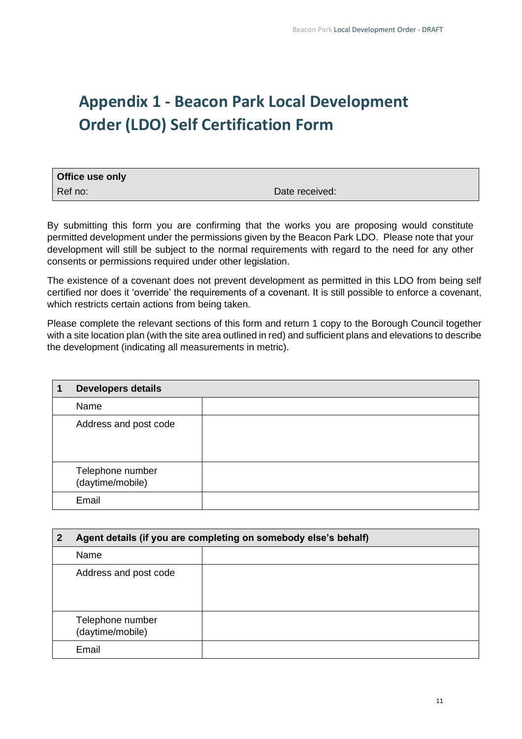# **Appendix 1 - Beacon Park Local Development Order (LDO) Self Certification Form**

| <b>Office use only</b> |                |
|------------------------|----------------|
| Ref no:                | Date received: |

By submitting this form you are confirming that the works you are proposing would constitute permitted development under the permissions given by the Beacon Park LDO. Please note that your development will still be subject to the normal requirements with regard to the need for any other consents or permissions required under other legislation.

The existence of a covenant does not prevent development as permitted in this LDO from being self certified nor does it 'override' the requirements of a covenant. It is still possible to enforce a covenant, which restricts certain actions from being taken.

Please complete the relevant sections of this form and return 1 copy to the Borough Council together with a site location plan (with the site area outlined in red) and sufficient plans and elevations to describe the development (indicating all measurements in metric).

| <b>Developers details</b>            |  |
|--------------------------------------|--|
| Name                                 |  |
| Address and post code                |  |
| Telephone number<br>(daytime/mobile) |  |
| Email                                |  |

| 2 | Agent details (if you are completing on somebody else's behalf) |  |
|---|-----------------------------------------------------------------|--|
|   | Name                                                            |  |
|   | Address and post code                                           |  |
|   | Telephone number<br>(daytime/mobile)                            |  |
|   | Email                                                           |  |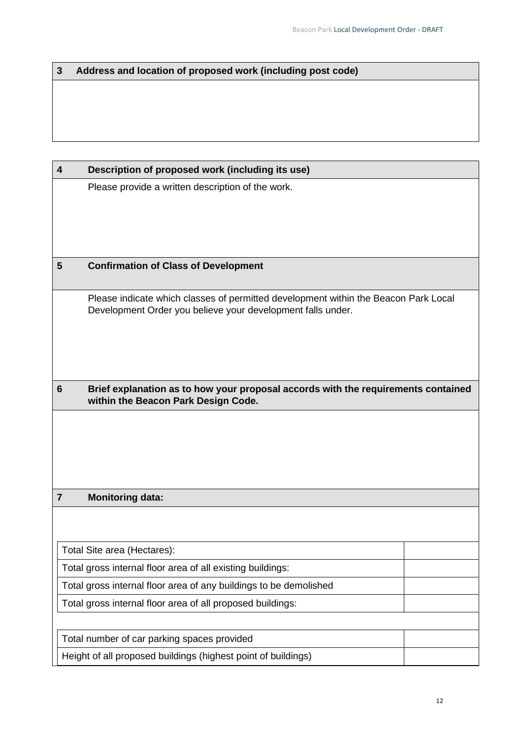### **3 Address and location of proposed work (including post code)**

| 4                       | Description of proposed work (including its use)                                                                                                   |  |  |
|-------------------------|----------------------------------------------------------------------------------------------------------------------------------------------------|--|--|
|                         | Please provide a written description of the work.                                                                                                  |  |  |
|                         |                                                                                                                                                    |  |  |
|                         |                                                                                                                                                    |  |  |
|                         |                                                                                                                                                    |  |  |
| $\overline{\mathbf{5}}$ | <b>Confirmation of Class of Development</b>                                                                                                        |  |  |
|                         | Please indicate which classes of permitted development within the Beacon Park Local<br>Development Order you believe your development falls under. |  |  |
|                         |                                                                                                                                                    |  |  |
| $6\phantom{1}6$         | Brief explanation as to how your proposal accords with the requirements contained<br>within the Beacon Park Design Code.                           |  |  |
|                         |                                                                                                                                                    |  |  |
|                         |                                                                                                                                                    |  |  |
|                         |                                                                                                                                                    |  |  |
|                         |                                                                                                                                                    |  |  |
| $\overline{7}$          | <b>Monitoring data:</b>                                                                                                                            |  |  |
|                         |                                                                                                                                                    |  |  |
|                         | Total Site area (Hectares):                                                                                                                        |  |  |
|                         | Total gross internal floor area of all existing buildings:                                                                                         |  |  |
|                         | Total gross internal floor area of any buildings to be demolished                                                                                  |  |  |
|                         | Total gross internal floor area of all proposed buildings:                                                                                         |  |  |
|                         |                                                                                                                                                    |  |  |
|                         | Total number of car parking spaces provided                                                                                                        |  |  |
|                         | Height of all proposed buildings (highest point of buildings)                                                                                      |  |  |